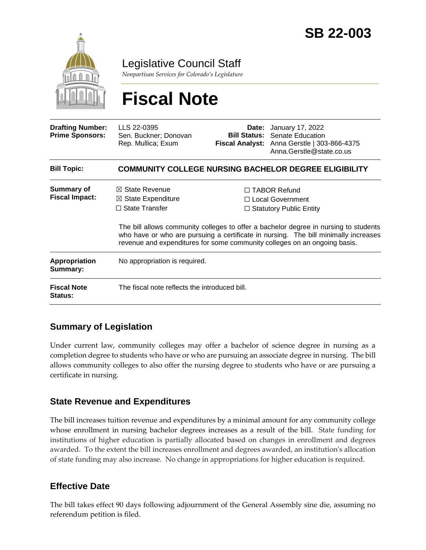

Legislative Council Staff

*Nonpartisan Services for Colorado's Legislature*

# **Fiscal Note**

| <b>Drafting Number:</b><br><b>Prime Sponsors:</b> | LLS 22-0395<br>Sen. Buckner; Donovan<br>Rep. Mullica; Exum                                                                                                                                                                                               |                                                                                  | <b>Date:</b> January 17, 2022<br><b>Bill Status:</b> Senate Education<br>Fiscal Analyst: Anna Gerstle   303-866-4375<br>Anna.Gerstle@state.co.us |
|---------------------------------------------------|----------------------------------------------------------------------------------------------------------------------------------------------------------------------------------------------------------------------------------------------------------|----------------------------------------------------------------------------------|--------------------------------------------------------------------------------------------------------------------------------------------------|
| <b>Bill Topic:</b>                                | <b>COMMUNITY COLLEGE NURSING BACHELOR DEGREE ELIGIBILITY</b>                                                                                                                                                                                             |                                                                                  |                                                                                                                                                  |
| <b>Summary of</b><br><b>Fiscal Impact:</b>        | $\boxtimes$ State Revenue<br>$\boxtimes$ State Expenditure<br>$\Box$ State Transfer                                                                                                                                                                      | $\Box$ TABOR Refund<br>$\Box$ Local Government<br>$\Box$ Statutory Public Entity |                                                                                                                                                  |
|                                                   | The bill allows community colleges to offer a bachelor degree in nursing to students<br>who have or who are pursuing a certificate in nursing. The bill minimally increases<br>revenue and expenditures for some community colleges on an ongoing basis. |                                                                                  |                                                                                                                                                  |
| Appropriation<br>Summary:                         | No appropriation is required.                                                                                                                                                                                                                            |                                                                                  |                                                                                                                                                  |
| <b>Fiscal Note</b><br><b>Status:</b>              | The fiscal note reflects the introduced bill.                                                                                                                                                                                                            |                                                                                  |                                                                                                                                                  |

### **Summary of Legislation**

Under current law, community colleges may offer a bachelor of science degree in nursing as a completion degree to students who have or who are pursuing an associate degree in nursing. The bill allows community colleges to also offer the nursing degree to students who have or are pursuing a certificate in nursing.

#### **State Revenue and Expenditures**

The bill increases tuition revenue and expenditures by a minimal amount for any community college whose enrollment in nursing bachelor degrees increases as a result of the bill. State funding for institutions of higher education is partially allocated based on changes in enrollment and degrees awarded. To the extent the bill increases enrollment and degrees awarded, an institution's allocation of state funding may also increase. No change in appropriations for higher education is required.

#### **Effective Date**

The bill takes effect 90 days following adjournment of the General Assembly sine die, assuming no referendum petition is filed.